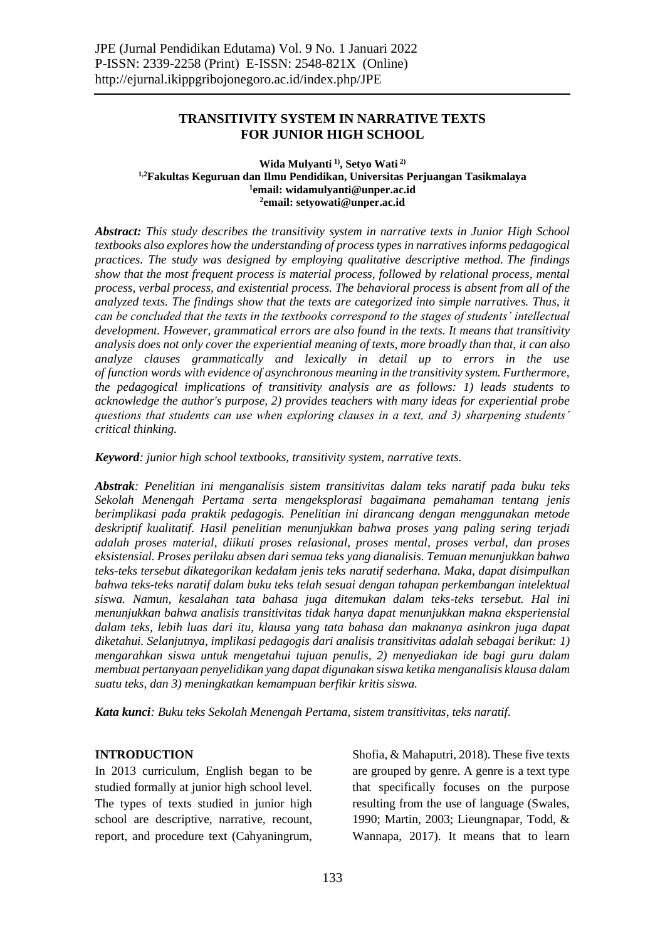## **TRANSITIVITY SYSTEM IN NARRATIVE TEXTS FOR JUNIOR HIGH SCHOOL**

#### **Wida Mulyanti 1) , Setyo Wati 2) 1,2Fakultas Keguruan dan Ilmu Pendidikan, Universitas Perjuangan Tasikmalaya 1 email: widamulyanti@unper.ac.id 2 email: setyowati@unper.ac.id**

*Abstract: This study describes the transitivity system in narrative texts in Junior High School textbooks also explores how the understanding of process types in narratives informs pedagogical practices. The study was designed by employing qualitative descriptive method. The findings show that the most frequent process is material process, followed by relational process, mental process, verbal process, and existential process. The behavioral process is absent from all of the analyzed texts. The findings show that the texts are categorized into simple narratives. Thus, it can be concluded that the texts in the textbooks correspond to the stages of students' intellectual development. However, grammatical errors are also found in the texts. It means that transitivity analysis does not only cover the experiential meaning of texts, more broadly than that, it can also analyze clauses grammatically and lexically in detail up to errors in the use of function words with evidence of asynchronous meaning in the transitivity system. Furthermore, the pedagogical implications of transitivity analysis are as follows: 1) leads students to acknowledge the author's purpose, 2) provides teachers with many ideas for experiential probe questions that students can use when exploring clauses in a text, and 3) sharpening students' critical thinking.*

*Keyword: junior high school textbooks, transitivity system, narrative texts.*

*Abstrak: Penelitian ini menganalisis sistem transitivitas dalam teks naratif pada buku teks Sekolah Menengah Pertama serta mengeksplorasi bagaimana pemahaman tentang jenis berimplikasi pada praktik pedagogis. Penelitian ini dirancang dengan menggunakan metode deskriptif kualitatif. Hasil penelitian menunjukkan bahwa proses yang paling sering terjadi adalah proses material, diikuti proses relasional, proses mental, proses verbal, dan proses eksistensial. Proses perilaku absen dari semua teks yang dianalisis. Temuan menunjukkan bahwa teks-teks tersebut dikategorikan kedalam jenis teks naratif sederhana. Maka, dapat disimpulkan bahwa teks-teks naratif dalam buku teks telah sesuai dengan tahapan perkembangan intelektual siswa. Namun, kesalahan tata bahasa juga ditemukan dalam teks-teks tersebut. Hal ini menunjukkan bahwa analisis transitivitas tidak hanya dapat menunjukkan makna eksperiensial dalam teks, lebih luas dari itu, klausa yang tata bahasa dan maknanya asinkron juga dapat diketahui. Selanjutnya, implikasi pedagogis dari analisis transitivitas adalah sebagai berikut: 1) mengarahkan siswa untuk mengetahui tujuan penulis, 2) menyediakan ide bagi guru dalam membuat pertanyaan penyelidikan yang dapat digunakan siswa ketika menganalisis klausa dalam suatu teks, dan 3) meningkatkan kemampuan berfikir kritis siswa.*

*Kata kunci: Buku teks Sekolah Menengah Pertama, sistem transitivitas, teks naratif.*

#### **INTRODUCTION**

In 2013 curriculum, English began to be studied formally at junior high school level. The types of texts studied in junior high school are descriptive, narrative, recount, report, and procedure text (Cahyaningrum,

Shofia, & Mahaputri, 2018). These five texts are grouped by genre. A genre is a text type that specifically focuses on the purpose resulting from the use of language (Swales, 1990; Martin, 2003; Lieungnapar, Todd, & Wannapa, 2017). It means that to learn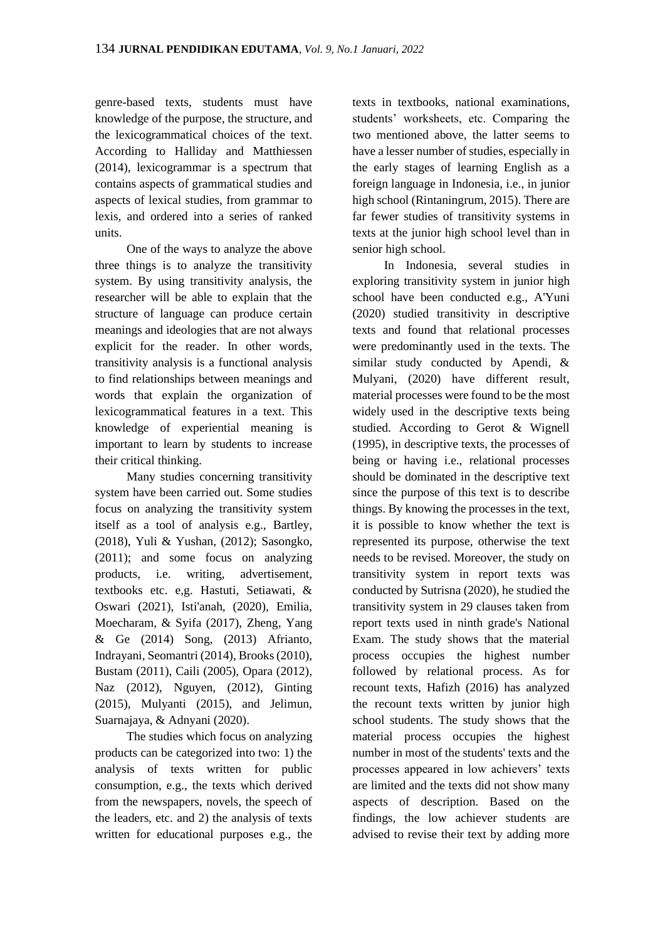genre-based texts, students must have knowledge of the purpose, the structure, and the lexicogrammatical choices of the text. According to Halliday and Matthiessen (2014), lexicogrammar is a spectrum that contains aspects of grammatical studies and aspects of lexical studies, from grammar to lexis, and ordered into a series of ranked units.

One of the ways to analyze the above three things is to analyze the transitivity system. By using transitivity analysis, the researcher will be able to explain that the structure of language can produce certain meanings and ideologies that are not always explicit for the reader. In other words, transitivity analysis is a functional analysis to find relationships between meanings and words that explain the organization of lexicogrammatical features in a text. This knowledge of experiential meaning is important to learn by students to increase their critical thinking.

Many studies concerning transitivity system have been carried out. Some studies focus on analyzing the transitivity system itself as a tool of analysis e.g., Bartley, (2018), Yuli & Yushan, (2012); Sasongko, (2011); and some focus on analyzing products, i.e. writing, advertisement, textbooks etc. e,g. Hastuti, Setiawati, & Oswari (2021), Isti'anah, (2020), Emilia, Moecharam, & Syifa (2017), Zheng, Yang & Ge (2014) Song, (2013) Afrianto, Indrayani, Seomantri (2014), Brooks (2010), Bustam (2011), Caili (2005), Opara (2012), Naz (2012), Nguyen, (2012), Ginting (2015), Mulyanti (2015), and Jelimun, Suarnajaya, & Adnyani (2020).

The studies which focus on analyzing products can be categorized into two: 1) the analysis of texts written for public consumption, e.g., the texts which derived from the newspapers, novels, the speech of the leaders, etc. and 2) the analysis of texts written for educational purposes e.g., the

texts in textbooks, national examinations, students' worksheets, etc. Comparing the two mentioned above, the latter seems to have a lesser number of studies, especially in the early stages of learning English as a foreign language in Indonesia, i.e., in junior high school (Rintaningrum, 2015). There are far fewer studies of transitivity systems in texts at the junior high school level than in senior high school.

In Indonesia, several studies in exploring transitivity system in junior high school have been conducted e.g., A'Yuni (2020) studied transitivity in descriptive texts and found that relational processes were predominantly used in the texts. The similar study conducted by Apendi, & Mulyani, (2020) have different result, material processes were found to be the most widely used in the descriptive texts being studied. According to Gerot & Wignell (1995), in descriptive texts, the processes of being or having i.e., relational processes should be dominated in the descriptive text since the purpose of this text is to describe things. By knowing the processes in the text, it is possible to know whether the text is represented its purpose, otherwise the text needs to be revised. Moreover, the study on transitivity system in report texts was conducted by Sutrisna (2020), he studied the transitivity system in 29 clauses taken from report texts used in ninth grade's National Exam. The study shows that the material process occupies the highest number followed by relational process. As for recount texts, Hafizh (2016) has analyzed the recount texts written by junior high school students. The study shows that the material process occupies the highest number in most of the students' texts and the processes appeared in low achievers' texts are limited and the texts did not show many aspects of description. Based on the findings, the low achiever students are advised to revise their text by adding more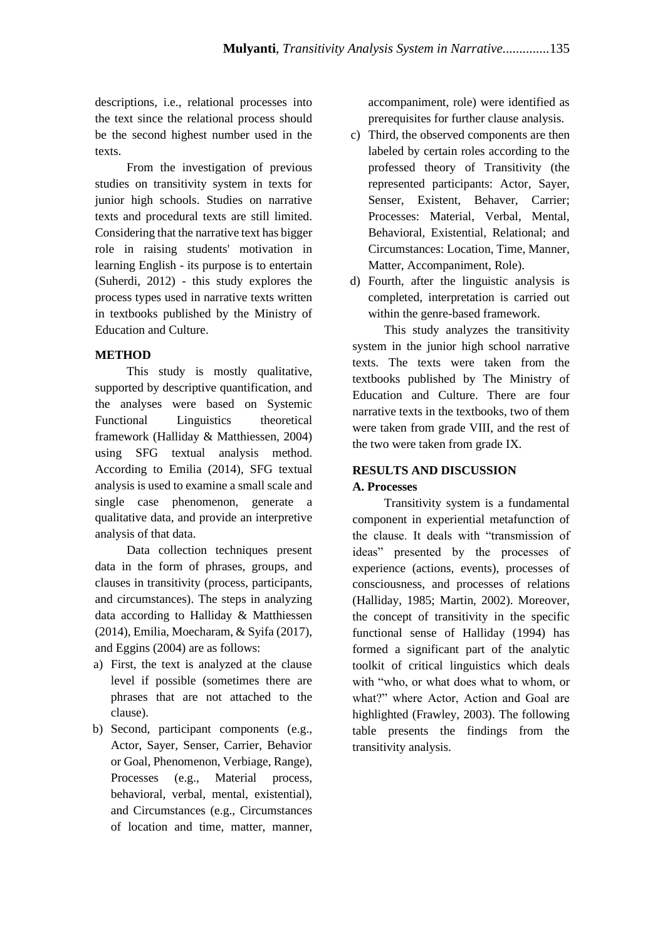descriptions, i.e., relational processes into the text since the relational process should be the second highest number used in the texts.

From the investigation of previous studies on transitivity system in texts for junior high schools. Studies on narrative texts and procedural texts are still limited. Considering that the narrative text has bigger role in raising students' motivation in learning English - its purpose is to entertain (Suherdi, 2012) - this study explores the process types used in narrative texts written in textbooks published by the Ministry of Education and Culture.

## **METHOD**

This study is mostly qualitative, supported by descriptive quantification, and the analyses were based on Systemic Functional Linguistics theoretical framework (Halliday & Matthiessen, 2004) using SFG textual analysis method. According to Emilia (2014), SFG textual analysis is used to examine a small scale and single case phenomenon, generate a qualitative data, and provide an interpretive analysis of that data.

Data collection techniques present data in the form of phrases, groups, and clauses in transitivity (process, participants, and circumstances). The steps in analyzing data according to Halliday & Matthiessen (2014), Emilia, Moecharam, & Syifa (2017), and Eggins (2004) are as follows:

- a) First, the text is analyzed at the clause level if possible (sometimes there are phrases that are not attached to the clause).
- b) Second, participant components (e.g., Actor, Sayer, Senser, Carrier, Behavior or Goal, Phenomenon, Verbiage, Range), Processes (e.g., Material process, behavioral, verbal, mental, existential), and Circumstances (e.g., Circumstances of location and time, matter, manner,

accompaniment, role) were identified as prerequisites for further clause analysis.

- c) Third, the observed components are then labeled by certain roles according to the professed theory of Transitivity (the represented participants: Actor, Sayer, Senser, Existent, Behaver, Carrier; Processes: Material, Verbal, Mental, Behavioral, Existential, Relational; and Circumstances: Location, Time, Manner, Matter, Accompaniment, Role).
- d) Fourth, after the linguistic analysis is completed, interpretation is carried out within the genre-based framework.

This study analyzes the transitivity system in the junior high school narrative texts. The texts were taken from the textbooks published by The Ministry of Education and Culture. There are four narrative texts in the textbooks, two of them were taken from grade VIII, and the rest of the two were taken from grade IX.

## **RESULTS AND DISCUSSION**

## **A. Processes**

Transitivity system is a fundamental component in experiential metafunction of the clause. It deals with "transmission of ideas" presented by the processes of experience (actions, events), processes of consciousness, and processes of relations (Halliday, 1985; Martin, 2002). Moreover, the concept of transitivity in the specific functional sense of Halliday (1994) has formed a significant part of the analytic toolkit of critical linguistics which deals with "who, or what does what to whom, or what?" where Actor, Action and Goal are highlighted (Frawley, 2003). The following table presents the findings from the transitivity analysis.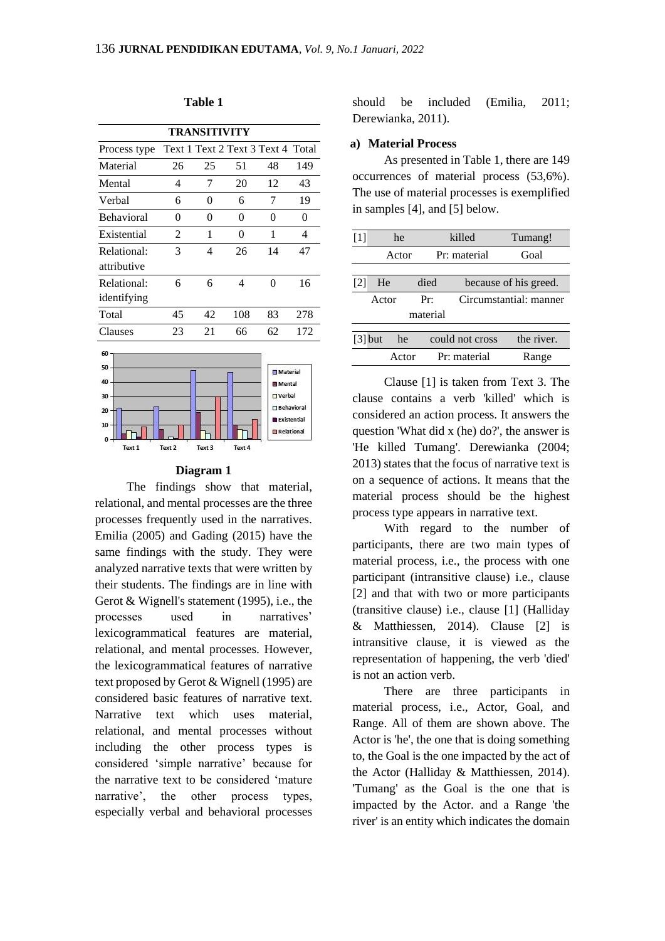| TRANSITIVITY                                    |                |                |                                   |                                                                                                         |                          |  |
|-------------------------------------------------|----------------|----------------|-----------------------------------|---------------------------------------------------------------------------------------------------------|--------------------------|--|
| Process type                                    |                |                | Text 1 Text 2 Text 3 Text 4 Total |                                                                                                         |                          |  |
| Material                                        | 26             | 25             | 51                                | 48                                                                                                      | 149                      |  |
| Mental                                          | $\overline{4}$ | 7              | 20                                | 12                                                                                                      | 43                       |  |
| Verbal                                          | 6              | $\Omega$       | 6                                 | 7                                                                                                       | 19                       |  |
| <b>Behavioral</b>                               | 0              | $\Omega$       | 0                                 | 0                                                                                                       | $\theta$                 |  |
| Existential                                     | $\mathfrak{D}$ | 1              | 0                                 | 1                                                                                                       | $\overline{\mathcal{A}}$ |  |
| Relational:<br>attributive                      | 3              | $\overline{4}$ | 26                                | 14                                                                                                      | 47                       |  |
| Relational:<br>identifying                      | 6              | 6              | 4                                 | $\Omega$                                                                                                | 16                       |  |
| Total                                           | 45             | 42             | 108                               | 83                                                                                                      | 278                      |  |
| Clauses                                         | 23             | 21             | 66                                | 62                                                                                                      | 172                      |  |
| 60<br>50<br>40<br>30<br>20<br>10<br>0<br>Text 1 | Text 2         | Text 3         | Text 4                            | <b>Material</b><br><b>In Mental</b><br><b>nverbal</b><br>Behavioral<br><b>Existential</b><br>Relational |                          |  |

#### **Table 1**

#### **Diagram 1**

The findings show that material, relational, and mental processes are the three processes frequently used in the narratives. Emilia (2005) and Gading (2015) have the same findings with the study. They were analyzed narrative texts that were written by their students. The findings are in line with Gerot & Wignell's statement (1995), i.e., the processes used in narratives' lexicogrammatical features are material, relational, and mental processes. However, the lexicogrammatical features of narrative text proposed by Gerot & Wignell (1995) are considered basic features of narrative text. Narrative text which uses material, relational, and mental processes without including the other process types is considered 'simple narrative' because for the narrative text to be considered 'mature narrative', the other process types, especially verbal and behavioral processes

should be included (Emilia, 2011; Derewianka, 2011).

#### **a) Material Process**

As presented in Table 1, there are 149 occurrences of material process (53,6%). The use of material processes is exemplified in samples [4], and [5] below.

| $[1]$             | he        |       |              | killed          | Tumang!                |
|-------------------|-----------|-------|--------------|-----------------|------------------------|
|                   | Actor     |       | Pr: material |                 | Goal                   |
|                   |           |       |              |                 |                        |
| $\lceil 2 \rceil$ | He        |       | died         |                 | because of his greed.  |
|                   | Actor     |       | Pr:          |                 | Circumstantial: manner |
|                   |           |       | material     |                 |                        |
|                   |           |       |              |                 |                        |
|                   | $[3]$ but | he    |              | could not cross | the river.             |
|                   |           | Actor |              | Pr: material    | Range                  |

Clause [1] is taken from Text 3. The clause contains a verb 'killed' which is considered an action process. It answers the question 'What did x (he) do?', the answer is 'He killed Tumang'. Derewianka (2004; 2013) states that the focus of narrative text is on a sequence of actions. It means that the material process should be the highest process type appears in narrative text.

With regard to the number of participants, there are two main types of material process, i.e., the process with one participant (intransitive clause) i.e., clause [2] and that with two or more participants (transitive clause) i.e., clause [1] (Halliday & Matthiessen, 2014). Clause [2] is intransitive clause, it is viewed as the representation of happening, the verb 'died' is not an action verb.

There are three participants in material process, i.e., Actor, Goal, and Range. All of them are shown above. The Actor is 'he', the one that is doing something to, the Goal is the one impacted by the act of the Actor (Halliday & Matthiessen, 2014). 'Tumang' as the Goal is the one that is impacted by the Actor. and a Range 'the river' is an entity which indicates the domain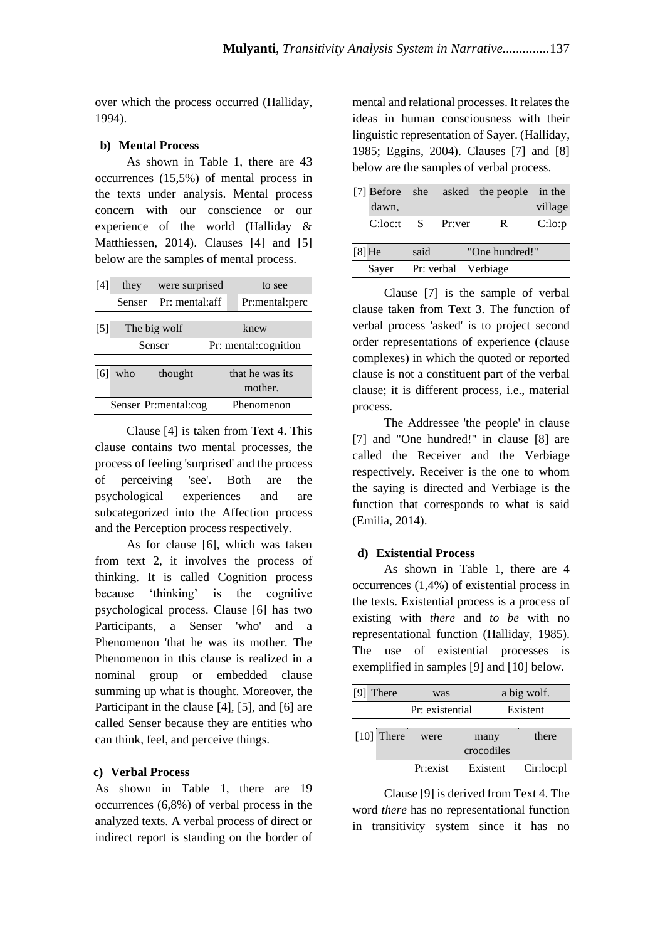over which the process occurred (Halliday, 1994).

#### **b) Mental Process**

As shown in Table 1, there are 43 occurrences (15,5%) of mental process in the texts under analysis. Mental process concern with our conscience or our experience of the world (Halliday & Matthiessen, 2014). Clauses [4] and [5] below are the samples of mental process.

| [4]   | they   | were surprised       |  | to see               |  |  |
|-------|--------|----------------------|--|----------------------|--|--|
|       | Senser | Pr: mental:aff       |  | Pr:mental:perc       |  |  |
|       |        |                      |  |                      |  |  |
| $[5]$ |        | The big wolf         |  | knew                 |  |  |
|       | Senser |                      |  | Pr: mental:cognition |  |  |
|       |        |                      |  |                      |  |  |
| [6]   | who    | thought              |  | that he was its      |  |  |
|       |        |                      |  | mother.              |  |  |
|       |        | Senser Pr:mental:cog |  | Phenomenon           |  |  |

Clause [4] is taken from Text 4. This clause contains two mental processes, the process of feeling 'surprised' and the process of perceiving 'see'. Both are the psychological experiences and are subcategorized into the Affection process and the Perception process respectively.

As for clause [6], which was taken from text 2, it involves the process of thinking. It is called Cognition process because 'thinking' is the cognitive psychological process. Clause [6] has two Participants, a Senser 'who' and a Phenomenon 'that he was its mother*.* The Phenomenon in this clause is realized in a nominal group or embedded clause summing up what is thought. Moreover, the Participant in the clause [4], [5], and [6] are called Senser because they are entities who can think, feel, and perceive things.

#### **c) Verbal Process**

As shown in Table 1, there are 19 occurrences (6,8%) of verbal process in the analyzed texts. A verbal process of direct or indirect report is standing on the border of mental and relational processes. It relates the ideas in human consciousness with their linguistic representation of Sayer. (Halliday, 1985; Eggins, 2004). Clauses [7] and [8] below are the samples of verbal process.

|                           |      | [7] Before she asked the people | in the  |
|---------------------------|------|---------------------------------|---------|
| dawn,                     |      |                                 | village |
| $C:loc: 1 \quad S$ Pr:ver |      | R                               | C:lo:p  |
|                           |      |                                 |         |
| $[8]$ He                  | said | "One hundred!"                  |         |
| Sayer                     |      | Pr: verbal Verbiage             |         |

Clause [7] is the sample of verbal clause taken from Text 3. The function of verbal process 'asked' is to project second order representations of experience (clause complexes) in which the quoted or reported clause is not a constituent part of the verbal clause; it is different process, i.e., material process.

The Addressee 'the people' in clause [7] and "One hundred!" in clause [8] are called the Receiver and the Verbiage respectively. Receiver is the one to whom the saying is directed and Verbiage is the function that corresponds to what is said (Emilia, 2014).

#### **d) Existential Process**

As shown in Table 1, there are 4 occurrences (1,4%) of existential process in the texts. Existential process is a process of existing with *there* and *to be* with no representational function (Halliday, 1985). The use of existential processes is exemplified in samples [9] and [10] below.

| was                       |            | a big wolf.     |
|---------------------------|------------|-----------------|
|                           |            | Existent        |
|                           |            |                 |
| were                      | many       | there           |
|                           | crocodiles |                 |
| Pr:exist                  | Existent   | Cir:loc:pl      |
| [9] There<br>$[10]$ There |            | Pr: existential |

Clause [9] is derived from Text 4. The word *there* has no representational function in transitivity system since it has no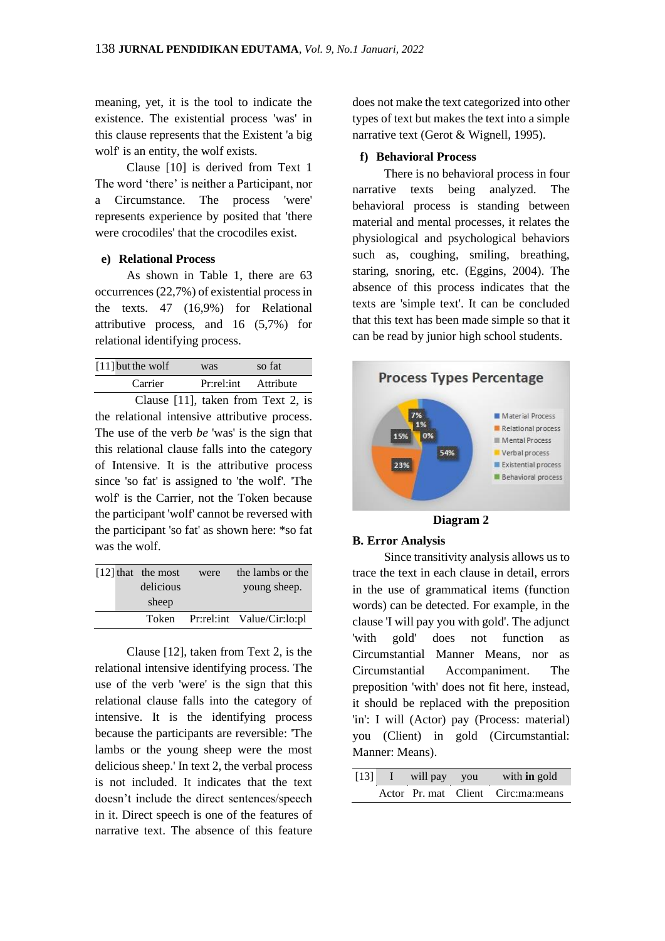meaning, yet, it is the tool to indicate the existence. The existential process 'was' in this clause represents that the Existent 'a big wolf' is an entity, the wolf exists.

Clause [10] is derived from Text 1 The word 'there' is neither a Participant, nor a Circumstance. The process 'were' represents experience by posited that 'there were crocodiles' that the crocodiles exist.

#### **e) Relational Process**

As shown in Table 1, there are 63 occurrences (22,7%) of existential process in the texts. 47 (16,9%) for Relational attributive process, and 16 (5,7%) for relational identifying process.

| $[11]$ but the wolf | was        | so fat    |  |
|---------------------|------------|-----------|--|
| Carrier             | Pr:rel:int | Attribute |  |

Clause [11], taken from Text 2, is the relational intensive attributive process. The use of the verb *be* 'was' is the sign that this relational clause falls into the category of Intensive. It is the attributive process since 'so fat' is assigned to 'the wolf'*.* 'The wolf' is the Carrier, not the Token because the participant 'wolf' cannot be reversed with the participant 'so fat' as shown here: \*so fat was the wolf.

|  | $[12]$ that the most | were | the lambs or the           |
|--|----------------------|------|----------------------------|
|  | delicious            |      | young sheep.               |
|  | sheep                |      |                            |
|  | Token                |      | Pr:rel:int Value/Cir:lo:pl |

Clause [12], taken from Text 2, is the relational intensive identifying process. The use of the verb 'were' is the sign that this relational clause falls into the category of intensive. It is the identifying process because the participants are reversible: 'The lambs or the young sheep were the most delicious sheep.' In text 2, the verbal process is not included. It indicates that the text doesn't include the direct sentences/speech in it. Direct speech is one of the features of narrative text. The absence of this feature

does not make the text categorized into other types of text but makes the text into a simple narrative text (Gerot & Wignell, 1995).

#### **f) Behavioral Process**

There is no behavioral process in four narrative texts being analyzed. The behavioral process is standing between material and mental processes, it relates the physiological and psychological behaviors such as, coughing, smiling, breathing, staring, snoring, etc. (Eggins, 2004). The absence of this process indicates that the texts are 'simple text'. It can be concluded that this text has been made simple so that it can be read by junior high school students.



#### **B. Error Analysis**

Since transitivity analysis allows us to trace the text in each clause in detail, errors in the use of grammatical items (function words) can be detected. For example, in the clause 'I will pay you with gold'. The adjunct 'with gold' does not function as Circumstantial Manner Means, nor as Circumstantial Accompaniment. The preposition 'with' does not fit here, instead, it should be replaced with the preposition 'in': I will (Actor) pay (Process: material) you (Client) in gold (Circumstantial: Manner: Means).

| $\lceil 13 \rceil$ | will pay you | with <b>in</b> gold                  |
|--------------------|--------------|--------------------------------------|
|                    |              | Actor Pr. mat Client Circ: ma: means |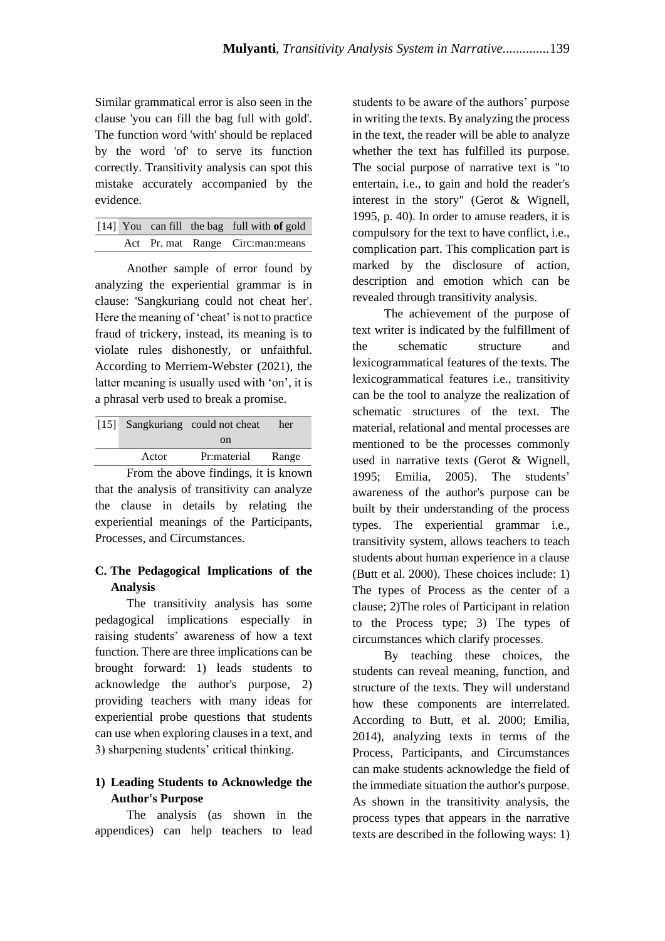Similar grammatical error is also seen in the clause 'you can fill the bag full with gold'. The function word 'with' should be replaced by the word 'of' to serve its function correctly. Transitivity analysis can spot this mistake accurately accompanied by the evidence.

|  |  | $[14]$ You can fill the bag full with of gold |
|--|--|-----------------------------------------------|
|  |  | Act Pr. mat Range Circ:man:means              |

Another sample of error found by analyzing the experiential grammar is in clause: 'Sangkuriang could not cheat her'. Here the meaning of 'cheat' is not to practice fraud of trickery, instead, its meaning is to violate rules dishonestly, or unfaithful. According to Merriem-Webster (2021), the latter meaning is usually used with 'on', it is a phrasal verb used to break a promise.

|       | [15] Sangkuriang could not cheat | her   |
|-------|----------------------------------|-------|
|       | <sub>on</sub>                    |       |
| Actor | Pr:material                      | Range |
|       |                                  |       |

From the above findings, it is known that the analysis of transitivity can analyze the clause in details by relating the experiential meanings of the Participants, Processes, and Circumstances.

# **C. The Pedagogical Implications of the Analysis**

The transitivity analysis has some pedagogical implications especially in raising students' awareness of how a text function. There are three implications can be brought forward: 1) leads students to acknowledge the author's purpose, 2) providing teachers with many ideas for experiential probe questions that students can use when exploring clauses in a text, and 3) sharpening students' critical thinking.

# **1) Leading Students to Acknowledge the Author's Purpose**

The analysis (as shown in the appendices) can help teachers to lead

students to be aware of the authors' purpose in writing the texts. By analyzing the process in the text, the reader will be able to analyze whether the text has fulfilled its purpose. The social purpose of narrative text is "to entertain, i.e., to gain and hold the reader's interest in the story" (Gerot & Wignell, 1995, p. 40). In order to amuse readers, it is compulsory for the text to have conflict, i.e., complication part. This complication part is marked by the disclosure of action, description and emotion which can be revealed through transitivity analysis.

The achievement of the purpose of text writer is indicated by the fulfillment of the schematic structure and lexicogrammatical features of the texts. The lexicogrammatical features i.e., transitivity can be the tool to analyze the realization of schematic structures of the text. The material, relational and mental processes are mentioned to be the processes commonly used in narrative texts (Gerot & Wignell, 1995; Emilia, 2005). The students' awareness of the author's purpose can be built by their understanding of the process types. The experiential grammar i.e., transitivity system, allows teachers to teach students about human experience in a clause (Butt et al. 2000). These choices include: 1) The types of Process as the center of a clause; 2)The roles of Participant in relation to the Process type; 3) The types of circumstances which clarify processes.

By teaching these choices, the students can reveal meaning, function, and structure of the texts. They will understand how these components are interrelated. According to Butt, et al. 2000; Emilia, 2014), analyzing texts in terms of the Process, Participants, and Circumstances can make students acknowledge the field of the immediate situation the author's purpose. As shown in the transitivity analysis, the process types that appears in the narrative texts are described in the following ways: 1)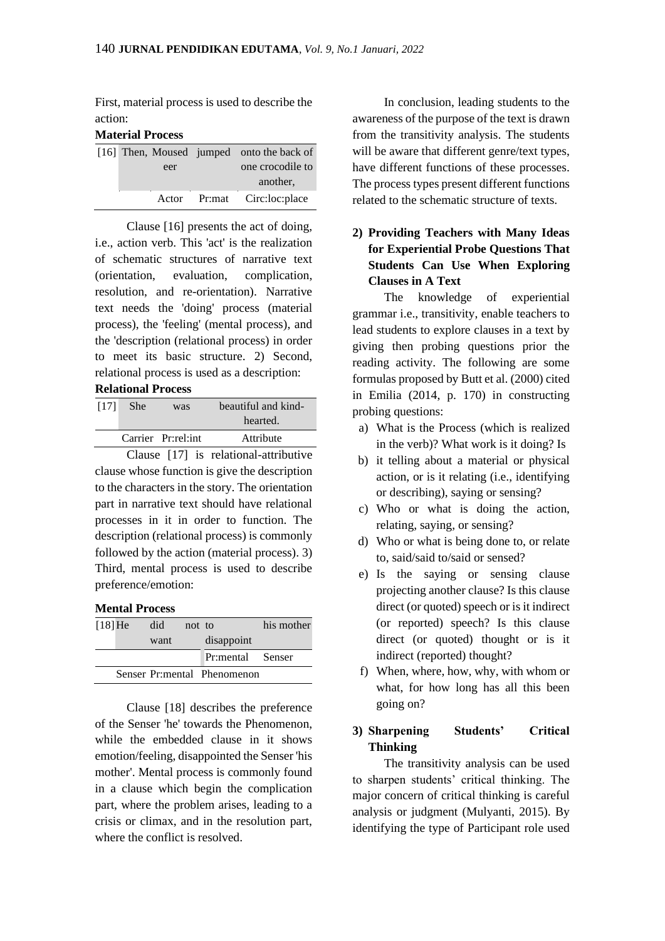First, material process is used to describe the action:

#### **Material Process**

|  |       | [16] Then, Moused jumped onto the back of |
|--|-------|-------------------------------------------|
|  | eer   | one crocodile to                          |
|  |       | another.                                  |
|  | Actor | Pr:mat Circ:loc:place                     |

Clause [16] presents the act of doing, i.e., action verb. This 'act' is the realization of schematic structures of narrative text (orientation, evaluation, complication, resolution, and re-orientation). Narrative text needs the 'doing' process (material process), the 'feeling' (mental process), and the 'description (relational process) in order to meet its basic structure. 2) Second, relational process is used as a description: **Relational Process**

# [17] She was beautiful and kindhearted. Carrier Pr:rel:int Attribute

Clause [17] is relational-attributive clause whose function is give the description to the characters in the story. The orientation part in narrative text should have relational processes in it in order to function. The description (relational process) is commonly followed by the action (material process). 3) Third, mental process is used to describe preference/emotion:

## **Mental Process**

| $[18]$ He | did  | not to |                             | his mother |
|-----------|------|--------|-----------------------------|------------|
|           | want |        | disappoint                  |            |
|           |      |        | Pr:mental Senser            |            |
|           |      |        | Senser Pr:mental Phenomenon |            |

Clause [18] describes the preference of the Senser 'he' towards the Phenomenon, while the embedded clause in it shows emotion/feeling, disappointed the Senser 'his mother'. Mental process is commonly found in a clause which begin the complication part, where the problem arises, leading to a crisis or climax, and in the resolution part, where the conflict is resolved.

In conclusion, leading students to the awareness of the purpose of the text is drawn from the transitivity analysis. The students will be aware that different genre/text types, have different functions of these processes. The process types present different functions related to the schematic structure of texts.

# **2) Providing Teachers with Many Ideas for Experiential Probe Questions That Students Can Use When Exploring Clauses in A Text**

The knowledge of experiential grammar i.e., transitivity, enable teachers to lead students to explore clauses in a text by giving then probing questions prior the reading activity. The following are some formulas proposed by Butt et al. (2000) cited in Emilia (2014, p. 170) in constructing probing questions:

- a) What is the Process (which is realized in the verb)? What work is it doing? Is
- b) it telling about a material or physical action, or is it relating (i.e., identifying or describing), saying or sensing?
- c) Who or what is doing the action, relating, saying, or sensing?
- d) Who or what is being done to, or relate to, said/said to/said or sensed?
- e) Is the saying or sensing clause projecting another clause? Is this clause direct (or quoted) speech or is it indirect (or reported) speech? Is this clause direct (or quoted) thought or is it indirect (reported) thought?
- f) When, where, how, why, with whom or what, for how long has all this been going on?

# **3) Sharpening Students' Critical Thinking**

The transitivity analysis can be used to sharpen students' critical thinking. The major concern of critical thinking is careful analysis or judgment (Mulyanti, 2015). By identifying the type of Participant role used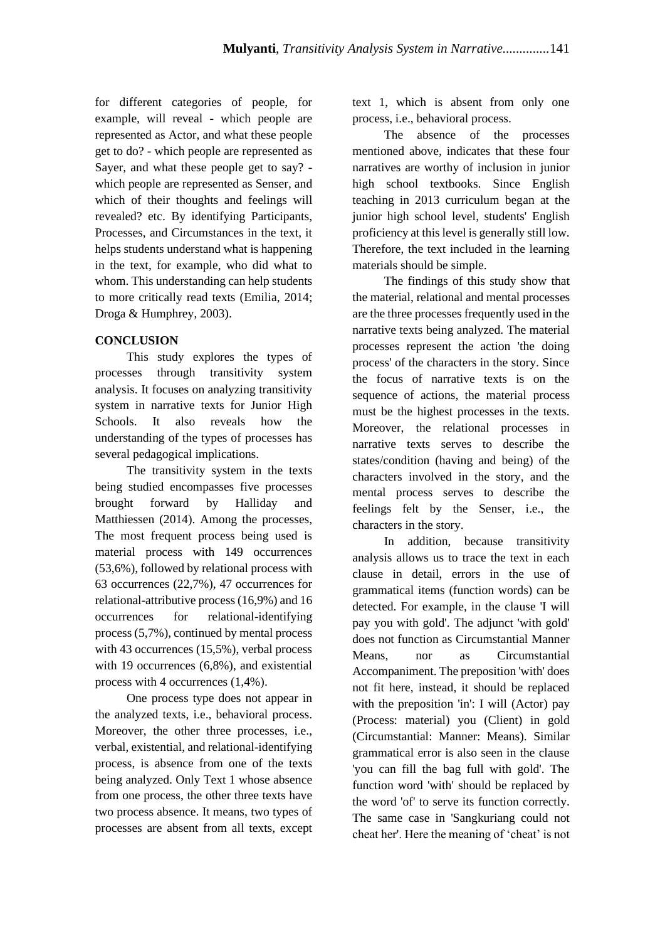for different categories of people, for example, will reveal - which people are represented as Actor, and what these people get to do? - which people are represented as Sayer, and what these people get to say? which people are represented as Senser, and which of their thoughts and feelings will revealed? etc. By identifying Participants, Processes, and Circumstances in the text, it helps students understand what is happening in the text, for example, who did what to whom. This understanding can help students to more critically read texts (Emilia, 2014; Droga & Humphrey, 2003).

## **CONCLUSION**

This study explores the types of processes through transitivity system analysis. It focuses on analyzing transitivity system in narrative texts for Junior High Schools. It also reveals how the understanding of the types of processes has several pedagogical implications.

The transitivity system in the texts being studied encompasses five processes brought forward by Halliday and Matthiessen (2014). Among the processes, The most frequent process being used is material process with 149 occurrences (53,6%), followed by relational process with 63 occurrences (22,7%), 47 occurrences for relational-attributive process (16,9%) and 16 occurrences for relational-identifying process (5,7%), continued by mental process with 43 occurrences (15,5%), verbal process with 19 occurrences (6,8%), and existential process with 4 occurrences (1,4%).

One process type does not appear in the analyzed texts, i.e., behavioral process. Moreover, the other three processes, i.e., verbal, existential, and relational-identifying process, is absence from one of the texts being analyzed. Only Text 1 whose absence from one process, the other three texts have two process absence. It means, two types of processes are absent from all texts, except text 1, which is absent from only one process, i.e., behavioral process.

The absence of the processes mentioned above, indicates that these four narratives are worthy of inclusion in junior high school textbooks. Since English teaching in 2013 curriculum began at the junior high school level, students' English proficiency at this level is generally still low. Therefore, the text included in the learning materials should be simple.

The findings of this study show that the material, relational and mental processes are the three processes frequently used in the narrative texts being analyzed. The material processes represent the action 'the doing process' of the characters in the story. Since the focus of narrative texts is on the sequence of actions, the material process must be the highest processes in the texts. Moreover, the relational processes in narrative texts serves to describe the states/condition (having and being) of the characters involved in the story, and the mental process serves to describe the feelings felt by the Senser, i.e., the characters in the story.

In addition, because transitivity analysis allows us to trace the text in each clause in detail, errors in the use of grammatical items (function words) can be detected. For example, in the clause 'I will pay you with gold'. The adjunct 'with gold' does not function as Circumstantial Manner Means, nor as Circumstantial Accompaniment. The preposition 'with' does not fit here, instead, it should be replaced with the preposition 'in': I will (Actor) pay (Process: material) you (Client) in gold (Circumstantial: Manner: Means). Similar grammatical error is also seen in the clause 'you can fill the bag full with gold'. The function word 'with' should be replaced by the word 'of' to serve its function correctly. The same case in 'Sangkuriang could not cheat her'. Here the meaning of 'cheat' is not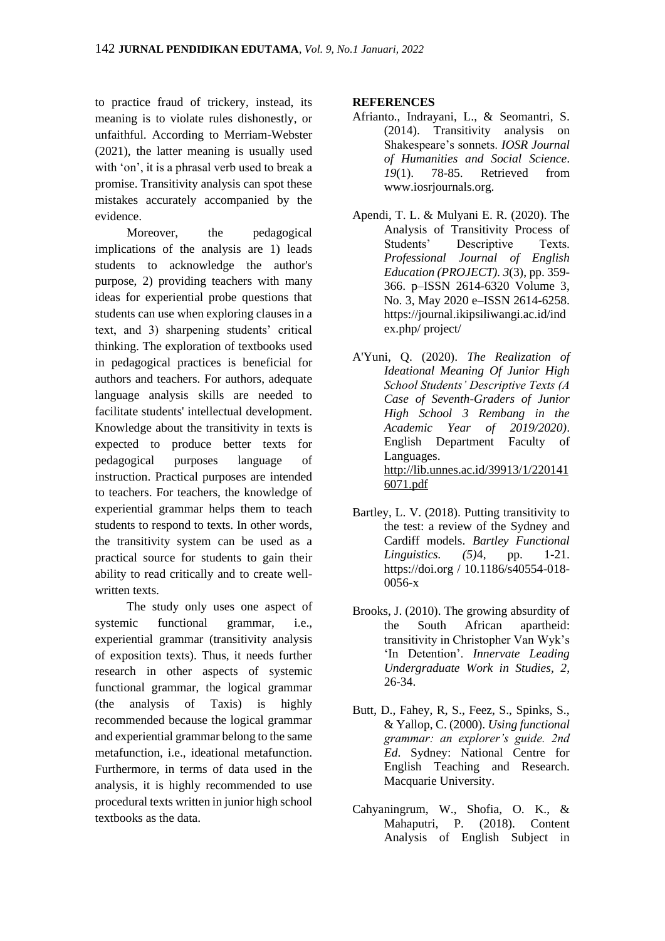to practice fraud of trickery, instead, its meaning is to violate rules dishonestly, or unfaithful. According to Merriam-Webster (2021), the latter meaning is usually used with 'on', it is a phrasal verb used to break a promise. Transitivity analysis can spot these mistakes accurately accompanied by the evidence.

Moreover, the pedagogical implications of the analysis are 1) leads students to acknowledge the author's purpose, 2) providing teachers with many ideas for experiential probe questions that students can use when exploring clauses in a text, and 3) sharpening students' critical thinking. The exploration of textbooks used in pedagogical practices is beneficial for authors and teachers. For authors, adequate language analysis skills are needed to facilitate students' intellectual development. Knowledge about the transitivity in texts is expected to produce better texts for pedagogical purposes language of instruction. Practical purposes are intended to teachers. For teachers, the knowledge of experiential grammar helps them to teach students to respond to texts. In other words, the transitivity system can be used as a practical source for students to gain their ability to read critically and to create wellwritten texts.

The study only uses one aspect of systemic functional grammar, i.e., experiential grammar (transitivity analysis of exposition texts). Thus, it needs further research in other aspects of systemic functional grammar, the logical grammar (the analysis of Taxis) is highly recommended because the logical grammar and experiential grammar belong to the same metafunction, i.e., ideational metafunction. Furthermore, in terms of data used in the analysis, it is highly recommended to use procedural texts written in junior high school textbooks as the data.

#### **REFERENCES**

- Afrianto., Indrayani, L., & Seomantri, S. (2014). Transitivity analysis on Shakespeare's sonnets. *IOSR Journal of Humanities and Social Science*. *19*(1). 78-85. Retrieved from www.iosrjournals.org.
- Apendi, T. L. & Mulyani E. R. (2020). The Analysis of Transitivity Process of Students' Descriptive Texts. *Professional Journal of English Education (PROJECT). 3*(3), pp. 359- 366. p–ISSN 2614-6320 Volume 3, No. 3, May 2020 e–ISSN 2614-6258. https://journal.ikipsiliwangi.ac.id/ind ex.php/ project/
- A'Yuni, Q. (2020). *The Realization of Ideational Meaning Of Junior High School Students' Descriptive Texts (A Case of Seventh-Graders of Junior High School 3 Rembang in the Academic Year of 2019/2020)*. English Department Faculty of Languages. [http://lib.unnes.ac.id/39913/1/220141](http://lib.unnes.ac.id/39913/1/2201416071.pdf) [6071.pdf](http://lib.unnes.ac.id/39913/1/2201416071.pdf)
- Bartley, L. V. (2018). Putting transitivity to the test: a review of the Sydney and Cardiff models. *Bartley Functional Linguistics. (5)*4, pp. 1-21. https://doi.org / 10.1186/s40554-018- 0056-x
- Brooks, J. (2010). The growing absurdity of the South African apartheid: transitivity in Christopher Van Wyk's 'In Detention'. *Innervate Leading Undergraduate Work in Studies, 2*, 26-34.
- Butt, D., Fahey, R, S., Feez, S., Spinks, S., & Yallop, C. (2000). *Using functional grammar: an explorer's guide. 2nd Ed*. Sydney: National Centre for English Teaching and Research. Macquarie University.
- Cahyaningrum, W., Shofia, O. K., & Mahaputri, P. (2018). Content Analysis of English Subject in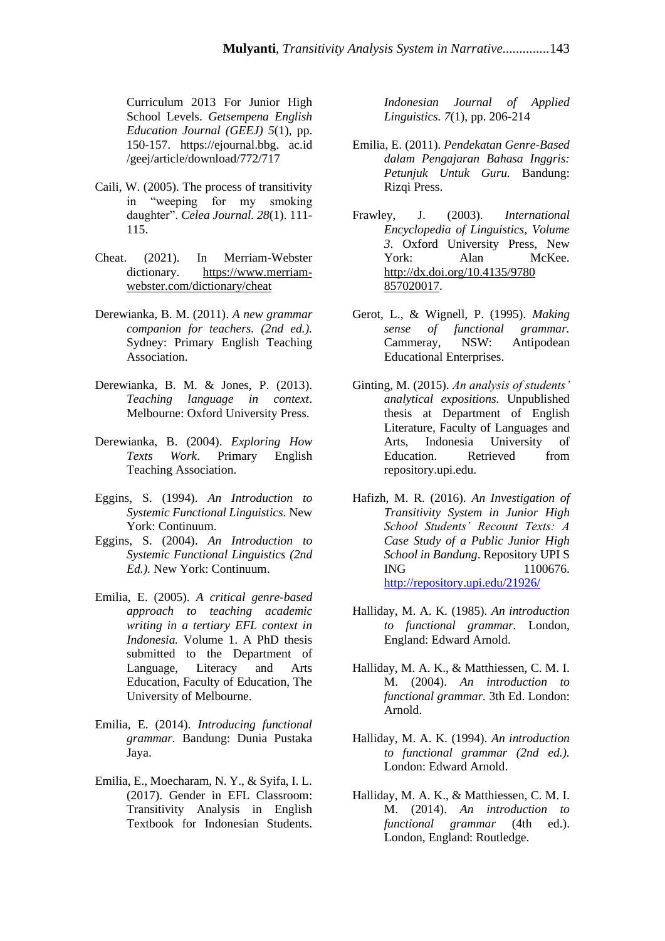Curriculum 2013 For Junior High School Levels. *Getsempena English Education Journal (GEEJ) 5*(1), pp. 150-157. https://ejournal.bbg. ac.id /geej/article/download/772/717

- Caili, W. (2005). The process of transitivity in "weeping for my smoking daughter". *Celea Journal. 28*(1). 111- 115.
- Cheat. (2021). In Merriam-Webster dictionary. [https://www.merriam](https://www.merriam-webster.com/dictionary/cheat)[webster.com/dictionary/cheat](https://www.merriam-webster.com/dictionary/cheat)
- Derewianka, B. M. (2011). *A new grammar companion for teachers. (2nd ed.).* Sydney: Primary English Teaching Association.
- Derewianka, B. M. & Jones, P. (2013). *Teaching language in context*. Melbourne: Oxford University Press.
- Derewianka, B. (2004). *Exploring How Texts Work*. Primary English Teaching Association.
- Eggins, S. (1994). *An Introduction to Systemic Functional Linguistics.* New York: Continuum.
- Eggins, S. (2004). *An Introduction to Systemic Functional Linguistics (2nd Ed.).* New York: Continuum.
- Emilia, E. (2005). *A critical genre-based approach to teaching academic writing in a tertiary EFL context in Indonesia.* Volume 1. A PhD thesis submitted to the Department of Language, Literacy and Arts Education, Faculty of Education, The University of Melbourne.
- Emilia, E. (2014). *Introducing functional grammar.* Bandung: Dunia Pustaka Jaya.
- Emilia, E., Moecharam, N. Y., & Syifa, I. L. (2017). Gender in EFL Classroom: Transitivity Analysis in English Textbook for Indonesian Students.

*Indonesian Journal of Applied Linguistics. 7*(1), pp. 206-214

- Emilia, E. (2011). *Pendekatan Genre-Based dalam Pengajaran Bahasa Inggris: Petunjuk Untuk Guru.* Bandung: Rizqi Press.
- Frawley, J. (2003). *International Encyclopedia of Linguistics, Volume 3*. Oxford University Press, New York: Alan McKee. [http://dx.doi.org/10.4135/9780](http://dx.doi.org/10.4135/9780%20857020017)  [857020017.](http://dx.doi.org/10.4135/9780%20857020017)
- Gerot, L., & Wignell, P. (1995). *Making sense of functional grammar.* Cammeray, NSW: Antipodean Educational Enterprises.
- Ginting, M. (2015). *An analysis of students' analytical expositions.* Unpublished thesis at Department of English Literature, Faculty of Languages and Arts, Indonesia University of Education. Retrieved from repository.upi.edu.
- Hafizh, M. R. (2016). *An Investigation of Transitivity System in Junior High School Students' Recount Texts: A Case Study of a Public Junior High School in Bandung*. Repository UPI S ING 1100676. <http://repository.upi.edu/21926/>
- Halliday, M. A. K. (1985). *An introduction to functional grammar.* London, England: Edward Arnold.
- Halliday, M. A. K., & Matthiessen, C. M. I. M. (2004). *An introduction to functional grammar.* 3th Ed. London: Arnold.
- Halliday, M. A. K. (1994). *An introduction to functional grammar (2nd ed.).* London: Edward Arnold.
- Halliday, M. A. K., & Matthiessen, C. M. I. M. (2014). *An introduction to functional grammar* (4th ed.). London, England: Routledge.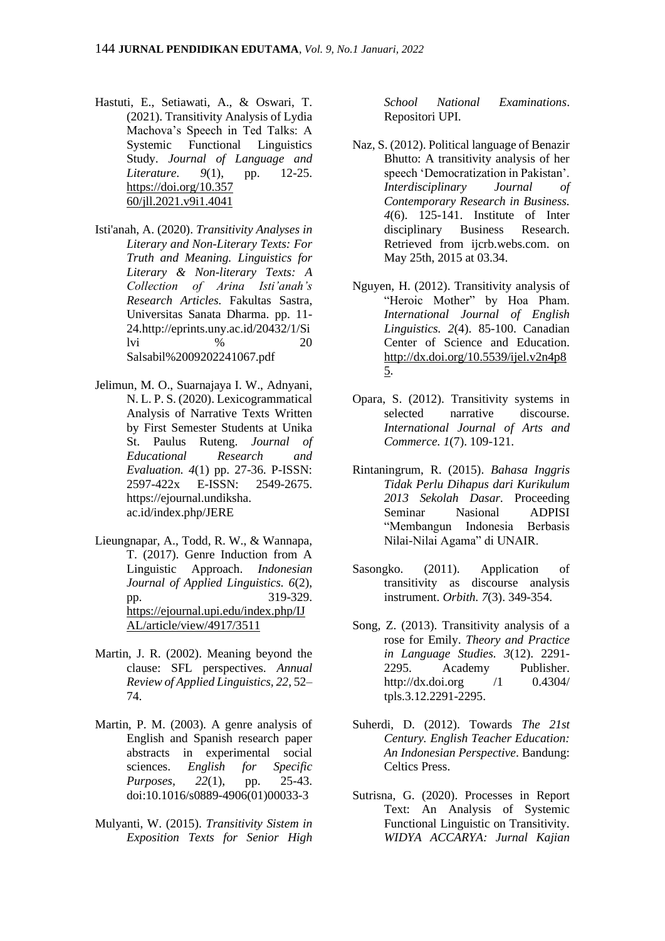- Hastuti, E., Setiawati, A., & Oswari, T. (2021). Transitivity Analysis of Lydia Machova's Speech in Ted Talks: A Systemic Functional Linguistics Study. *Journal of Language and Literature. 9*(1), pp. 12-25. [https://doi.org/10.357](https://doi.org/10.357%2060/jll.2021.v9i1.4041)  [60/jll.2021.v9i1.4041](https://doi.org/10.357%2060/jll.2021.v9i1.4041)
- Isti'anah, A. (2020). *Transitivity Analyses in Literary and Non-Literary Texts: For Truth and Meaning. Linguistics for Literary & Non-literary Texts: A Collection of Arina Isti'anah's Research Articles.* Fakultas Sastra, Universitas Sanata Dharma. pp. 11- 24.http://eprints.uny.ac.id/20432/1/Si  $1\text{vi}$  % 20 Salsabil%2009202241067.pdf
- Jelimun, M. O., Suarnajaya I. W., Adnyani, N. L. P. S. (2020). Lexicogrammatical Analysis of Narrative Texts Written by First Semester Students at Unika St. Paulus Ruteng. *Journal of Educational Research and Evaluation. 4*(1) pp. 27-36. P-ISSN: 2597-422x E-ISSN: 2549-2675. https://ejournal.undiksha. ac.id/index.php/JERE
- Lieungnapar, A., Todd, R. W., & Wannapa, T. (2017). Genre Induction from A Linguistic Approach. *Indonesian Journal of Applied Linguistics. 6*(2), pp. 319-329. [https://ejournal.upi.edu/index.php/IJ](https://ejournal.upi.edu/index.php/IJAL/article/view/4917/3511) [AL/article/view/4917/3511](https://ejournal.upi.edu/index.php/IJAL/article/view/4917/3511)
- Martin, J. R. (2002). Meaning beyond the clause: SFL perspectives. *Annual Review of Applied Linguistics, 22*, 52– 74.
- Martin, P. M. (2003). A genre analysis of English and Spanish research paper abstracts in experimental social sciences. *English for Specific Purposes, 22*(1), pp. 25-43. doi:10.1016/s0889-4906(01)00033-3
- Mulyanti, W. (2015). *Transitivity Sistem in Exposition Texts for Senior High*

*School National Examinations*. Repositori UPI.

- Naz, S. (2012). Political language of Benazir Bhutto: A transitivity analysis of her speech 'Democratization in Pakistan'. *Interdisciplinary Journal of Contemporary Research in Business. 4*(6). 125-141. Institute of Inter disciplinary Business Research. Retrieved from ijcrb.webs.com. on May 25th, 2015 at 03.34.
- Nguyen, H. (2012). Transitivity analysis of "Heroic Mother" by Hoa Pham. *International Journal of English Linguistics. 2*(4). 85-100. Canadian Center of Science and Education. [http://dx.doi.org/10.5539/ijel.v2n4p8](http://dx.doi.org/10.5539/ijel.v2n4p85) [5.](http://dx.doi.org/10.5539/ijel.v2n4p85)
- Opara, S. (2012). Transitivity systems in selected narrative discourse. *International Journal of Arts and Commerce. 1*(7). 109-121.
- Rintaningrum, R. (2015). *Bahasa Inggris Tidak Perlu Dihapus dari Kurikulum 2013 Sekolah Dasar.* Proceeding Seminar Nasional ADPISI "Membangun Indonesia Berbasis Nilai-Nilai Agama" di UNAIR.
- Sasongko. (2011). Application of transitivity as discourse analysis instrument. *Orbith. 7*(3). 349-354.
- Song, Z. (2013). Transitivity analysis of a rose for Emily. *Theory and Practice in Language Studies. 3*(12). 2291- 2295. Academy Publisher. http://dx.doi.org /1 0.4304/ tpls.3.12.2291-2295.
- Suherdi, D. (2012). Towards *The 21st Century. English Teacher Education: An Indonesian Perspective*. Bandung: Celtics Press.
- Sutrisna, G. (2020). Processes in Report Text: An Analysis of Systemic Functional Linguistic on Transitivity. *WIDYA ACCARYA: Jurnal Kajian*